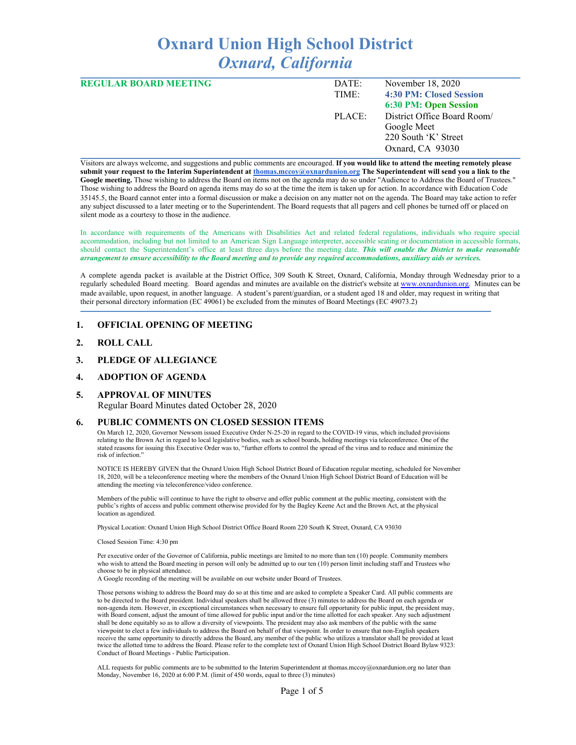# **Oxnard Union High School District** *Oxnard, California*

| <b>REGULAR BOARD MEETING</b> | DATE:  | November 18, 2020           |
|------------------------------|--------|-----------------------------|
|                              | TIME:  | 4:30 PM: Closed Session     |
|                              |        | 6:30 PM: Open Session       |
|                              | PLACE: | District Office Board Room/ |
|                              |        | Google Meet                 |
|                              |        | 220 South 'K' Street        |
|                              |        | Oxnard, CA 93030            |
|                              |        |                             |

Visitors are always welcome, and suggestions and public comments are encouraged. **If you would like to attend the meeting remotely please** submit your request to the Interim Superintendent at thomas.mccov@oxnardunion.org The Superintendent will send you a link to the **Google meeting.** Those wishing to address the Board on items not on the agenda may do so under "Audience to Address the Board of Trustees." Those wishing to address the Board on agenda items may do so at the time the item is taken up for action. In accordance with Education Code 35145.5, the Board cannot enter into a formal discussion or make a decision on any matter not on the agenda. The Board may take action to refer any subject discussed to a later meeting or to the Superintendent. The Board requests that all pagers and cell phones be turned off or placed on silent mode as a courtesy to those in the audience.

In accordance with requirements of the Americans with Disabilities Act and related federal regulations, individuals who require special accommodation, including but not limited to an American Sign Language interpreter, accessible seating or documentation in accessible formats, should contact the Superintendent's office at least three days before the meeting date. *This will enable the District to make reasonable* arrangement to ensure accessibility to the Board meeting and to provide any required accommodations, auxiliary aids or services.

A complete agenda packet is available at the District Office, 309 South K Street, Oxnard, California, Monday through Wednesday prior to a regularly scheduled Board meeting. Board agendas and minutes are available on the district's website at [www.o](http://www.o/)xnardunion.org. Minutes can be made available, upon request, in another language. A student's parent/guardian, or a student aged 18 and older, may request in writing that their personal directory information (EC 49061) be excluded from the minutes of Board Meetings (EC 49073.2)

#### **1. OFFICIAL OPENING OF MEETING**

- **2. ROLL CALL**
- **3. PLEDGE OF ALLEGIANCE**

#### **4. ADOPTION OF AGENDA**

#### **5. APPROVAL OF MINUTES**

Regular Board Minutes dated October 28, 2020

#### **6. PUBLIC COMMENTS ON CLOSED SESSION ITEMS**

On March 12, 2020, Governor Newsom issued Executive Order N-25-20 in regard to the COVID-19 virus, which included provisions relating to the Brown Act in regard to local legislative bodies, such as school boards, holding meetings via teleconference. One of the stated reasons for issuing this Executive Order was to, "further efforts to control the spread of the virus and to reduce and minimize the risk of infection."

NOTICE IS HEREBY GIVEN that the Oxnard Union High School District Board of Education regular meeting, scheduled for November 18, 2020, will be a teleconference meeting where the members of the Oxnard Union High School District Board of Education will be attending the meeting via teleconference/video conference.

Members of the public will continue to have the right to observe and offer public comment at the public meeting, consistent with the public's rights of access and public comment otherwise provided for by the Bagley Keene Act and the Brown Act, at the physical location as agendized.

Physical Location: Oxnard Union High School District Office Board Room 220 South K Street, Oxnard, CA 93030

Closed Session Time: 4:30 pm

Per executive order of the Governor of California, public meetings are limited to no more than ten (10) people. Community members who wish to attend the Board meeting in person will only be admitted up to our ten (10) person limit including staff and Trustees who choose to be in physical attendance.

A Google recording of the meeting will be available on our website under Board of Trustees.

Those persons wishing to address the Board may do so at this time and are asked to complete a Speaker Card. All public comments are to be directed to the Board president. Individual speakers shall be allowed three (3) minutes to address the Board on each agenda or non-agenda item. However, in exceptional circumstances when necessary to ensure full opportunity for public input, the president may, with Board consent, adjust the amount of time allowed for public input and/or the time allotted for each speaker. Any such adjustment shall be done equitably so as to allow a diversity of viewpoints. The president may also ask members of the public with the same viewpoint to elect a few individuals to address the Board on behalf of that viewpoint. In order to ensure that non-English speakers receive the same opportunity to directly address the Board, any member of the public who utilizes a translator shall be provided at least twice the allotted time to address the Board. Please refer to the complete text of Oxnard Union High School District Board Bylaw 9323: Conduct of Board Meetings - Public Participation.

ALL requests for public comments are to be submitted to the Interim Superintendent at thomas.mccoy@oxnardunion.org no later than Monday, November 16, 2020 at 6:00 P.M. (limit of 450 words, equal to three (3) minutes)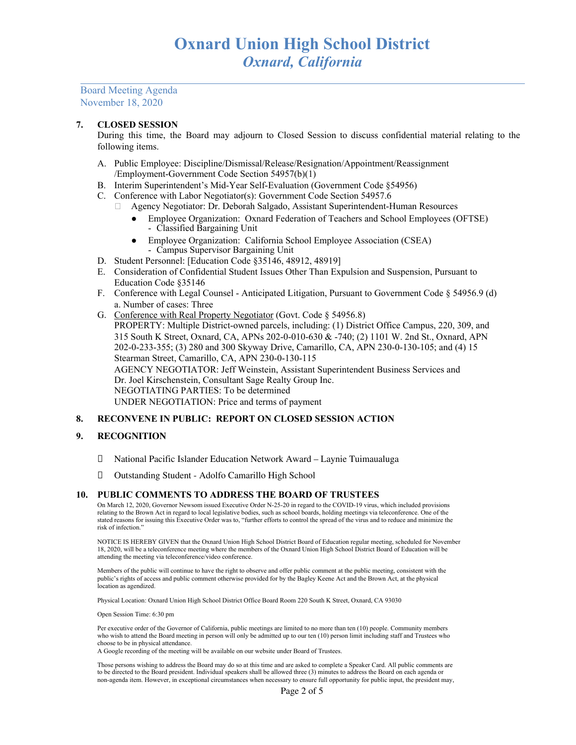Board Meeting Agenda November 18, 2020

#### **7. CLOSED SESSION**

During this time, the Board may adjourn to Closed Session to discuss confidential material relating to the following items.

- A. Public Employee: Discipline/Dismissal/Release/Resignation/Appointment/Reassignment /Employment-Government Code Section 54957(b)(1)
- B. Interim Superintendent's Mid-Year Self-Evaluation (Government Code §54956)
- C. Conference with Labor Negotiator(s): Government Code Section 54957.6
	- Agency Negotiator: Dr. Deborah Salgado, Assistant Superintendent-Human Resources
		- Employee Organization: Oxnard Federation of Teachers and School Employees (OFTSE) - Classified Bargaining Unit
		- Employee Organization: California School Employee Association (CSEA)
			- Campus Supervisor Bargaining Unit
- D. Student Personnel: [Education Code §35146, 48912, 48919]
- E. Consideration of Confidential Student Issues Other Than Expulsion and Suspension, Pursuant to Education Code §35146
- F. Conference with Legal Counsel Anticipated Litigation, Pursuant to Government Code § 54956.9 (d) a. Number of cases: Three
- G. Conference with Real Property Negotiator (Govt. Code § 54956.8) PROPERTY: Multiple District-owned parcels, including: (1) District Office Campus, 220, 309, and 315 South K Street, Oxnard, CA, APNs 202-0-010-630 & -740; (2) 1101 W. 2nd St., Oxnard, APN 202-0-233-355; (3) 280 and 300 Skyway Drive, Camarillo, CA, APN 230-0-130-105; and (4) 15 Stearman Street, Camarillo, CA, APN 230-0-130-115 AGENCY NEGOTIATOR: Jeff Weinstein, Assistant Superintendent Business Services and Dr. Joel Kirschenstein, Consultant Sage Realty Group Inc. NEGOTIATING PARTIES: To be determined UNDER NEGOTIATION: Price and terms of payment

#### **8. RECONVENE IN PUBLIC: REPORT ON CLOSED SESSION ACTION**

#### **9. RECOGNITION**

- National Pacific Islander Education Network Award Laynie Tuimaualuga
- Outstanding Student Adolfo Camarillo High School

#### **10. PUBLIC COMMENTS TO ADDRESS THE BOARD OF TRUSTEES**

On March 12, 2020, Governor Newsom issued Executive Order N-25-20 in regard to the COVID-19 virus, which included provisions relating to the Brown Act in regard to local legislative bodies, such as school boards, holding meetings via teleconference. One of the stated reasons for issuing this Executive Order was to, "further efforts to control the spread of the virus and to reduce and minimize the risk of infection."

NOTICE IS HEREBY GIVEN that the Oxnard Union High School District Board of Education regular meeting, scheduled for November 18, 2020, will be a teleconference meeting where the members of the Oxnard Union High School District Board of Education will be attending the meeting via teleconference/video conference.

Members of the public will continue to have the right to observe and offer public comment at the public meeting, consistent with the public's rights of access and public comment otherwise provided for by the Bagley Keene Act and the Brown Act, at the physical location as agendized.

Physical Location: Oxnard Union High School District Office Board Room 220 South K Street, Oxnard, CA 93030

Open Session Time: 6:30 pm

Per executive order of the Governor of California, public meetings are limited to no more than ten (10) people. Community members who wish to attend the Board meeting in person will only be admitted up to our ten (10) person limit including staff and Trustees who choose to be in physical attendance.

A Google recording of the meeting will be available on our website under Board of Trustees.

Those persons wishing to address the Board may do so at this time and are asked to complete a Speaker Card. All public comments are to be directed to the Board president. Individual speakers shall be allowed three (3) minutes to address the Board on each agenda or non-agenda item. However, in exceptional circumstances when necessary to ensure full opportunity for public input, the president may,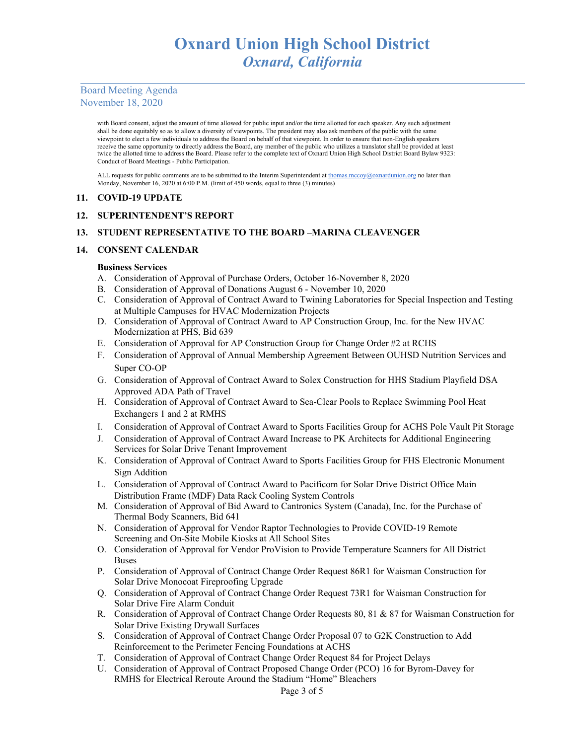# Board Meeting Agenda November 18, 2020

with Board consent, adjust the amount of time allowed for public input and/or the time allotted for each speaker. Any such adjustment shall be done equitably so as to allow a diversity of viewpoints. The president may also ask members of the public with the same viewpoint to elect a few individuals to address the Board on behalf of that viewpoint. In order to ensure that non-English speakers receive the same opportunity to directly address the Board, any member of the public who utilizes a translator shall be provided at least twice the allotted time to address the Board. Please refer to the complete text of Oxnard Union High School District Board Bylaw 9323: Conduct of Board Meetings - Public Participation.

ALL requests for public comments are to be submitted to the Interim Superintendent at [thomas.mccoy@oxnardunion.org](mailto:thomas.mccoy@oxnardunion.org) no later than Monday, November 16, 2020 at 6:00 P.M. (limit of 450 words, equal to three (3) minutes)

#### **11. COVID-19 UPDATE**

### **12. SUPERINTENDENT'S REPORT**

### **13. STUDENT REPRESENTATIVE TO THE BOARD –MARINA CLEAVENGER**

### **14. CONSENT CALENDAR**

#### **Business Services**

- A. Consideration of Approval of Purchase Orders, October 16-November 8, 2020
- B. Consideration of Approval of Donations August 6 November 10, 2020
- C. Consideration of Approval of Contract Award to Twining Laboratories for Special Inspection and Testing at Multiple Campuses for HVAC Modernization Projects
- D. Consideration of Approval of Contract Award to AP Construction Group, Inc. for the New HVAC Modernization at PHS, Bid 639
- E. Consideration of Approval for AP Construction Group for Change Order #2 at RCHS
- F. Consideration of Approval of Annual Membership Agreement Between OUHSD Nutrition Services and Super CO-OP
- G. Consideration of Approval of Contract Award to Solex Construction for HHS Stadium Playfield DSA Approved ADA Path of Travel
- H. Consideration of Approval of Contract Award to Sea-Clear Pools to Replace Swimming Pool Heat Exchangers 1 and 2 at RMHS
- I. Consideration of Approval of Contract Award to Sports Facilities Group for ACHS Pole Vault Pit Storage
- J. Consideration of Approval of Contract Award Increase to PK Architects for Additional Engineering Services for Solar Drive Tenant Improvement
- K. Consideration of Approval of Contract Award to Sports Facilities Group for FHS Electronic Monument Sign Addition
- L. Consideration of Approval of Contract Award to Pacificom for Solar Drive District Office Main Distribution Frame (MDF) Data Rack Cooling System Controls
- M. Consideration of Approval of Bid Award to Cantronics System (Canada), Inc. for the Purchase of Thermal Body Scanners, Bid 641
- N. Consideration of Approval for Vendor Raptor Technologies to Provide COVID-19 Remote Screening and On-Site Mobile Kiosks at All School Sites
- O. Consideration of Approval for Vendor ProVision to Provide Temperature Scanners for All District Buses
- P. Consideration of Approval of Contract Change Order Request 86R1 for Waisman Construction for Solar Drive Monocoat Fireproofing Upgrade
- Q. Consideration of Approval of Contract Change Order Request 73R1 for Waisman Construction for Solar Drive Fire Alarm Conduit
- R. Consideration of Approval of Contract Change Order Requests 80, 81 & 87 for Waisman Construction for Solar Drive Existing Drywall Surfaces
- S. Consideration of Approval of Contract Change Order Proposal 07 to G2K Construction to Add Reinforcement to the Perimeter Fencing Foundations at ACHS
- T. Consideration of Approval of Contract Change Order Request 84 for Project Delays
- U. Consideration of Approval of Contract Proposed Change Order (PCO) 16 for Byrom-Davey for RMHS for Electrical Reroute Around the Stadium "Home" Bleachers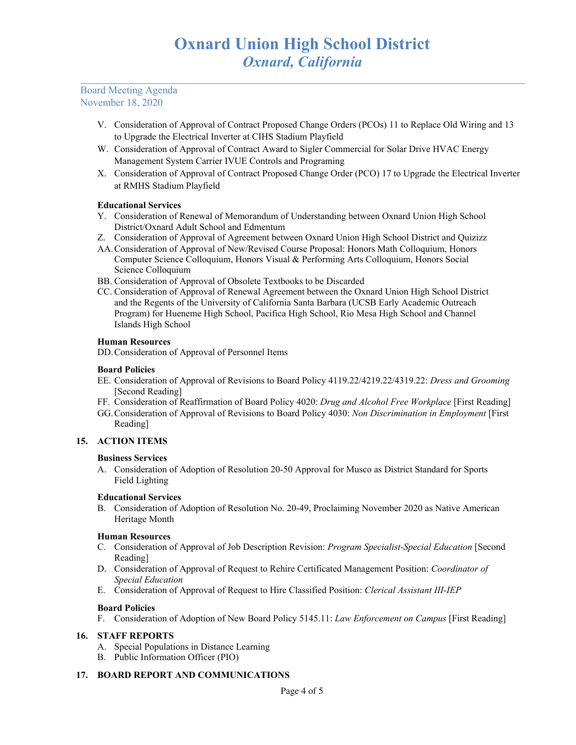Board Meeting Agenda November 18, 2020

- V. Consideration of Approval of Contract Proposed Change Orders (PCOs) 11 to Replace Old Wiring and 13 to Upgrade the Electrical Inverter at CIHS Stadium Playfield
- W. Consideration of Approval of Contract Award to Sigler Commercial for Solar Drive HVAC Energy Management System Carrier IVUE Controls and Programing
- X. Consideration of Approval of Contract Proposed Change Order (PCO) 17 to Upgrade the Electrical Inverter at RMHS Stadium Playfield

#### **Educational Services**

- Y. Consideration of Renewal of Memorandum of Understanding between Oxnard Union High School District/Oxnard Adult School and Edmentum
- Z. Consideration of Approval of Agreement between Oxnard Union High School District and Quizizz
- AA.Consideration of Approval of New/Revised Course Proposal: Honors Math Colloquium, Honors Computer Science Colloquium, Honors Visual & Performing Arts Colloquium, Honors Social Science Colloquium
- BB. Consideration of Approval of Obsolete Textbooks to be Discarded
- CC. Consideration of Approval of Renewal Agreement between the Oxnard Union High School District and the Regents of the University of California Santa Barbara (UCSB Early Academic Outreach Program) for Hueneme High School, Pacifica High School, Rio Mesa High School and Channel Islands High School

#### **Human Resources**

DD.Consideration of Approval of Personnel Items

#### **Board Policies**

- EE. Consideration of Approval of Revisions to Board Policy 4119.22/4219.22/4319.22: *Dress and Grooming* [Second Reading]
- FF. Consideration of Reaffirmation of Board Policy 4020: *Drug and Alcohol Free Workplace* [First Reading]
- GG.Consideration of Approval of Revisions to Board Policy 4030: *Non Discrimination in Employment* [First Reading]

# **15. ACTION ITEMS**

#### **Business Services**

A. Consideration of Adoption of Resolution 20-50 Approval for Musco as District Standard for Sports Field Lighting

#### **Educational Services**

B. Consideration of Adoption of Resolution No. 20-49, Proclaiming November 2020 as Native American Heritage Month

#### **Human Resources**

- C. Consideration of Approval of Job Description Revision: *Program Specialist-Special Education* [Second Reading]
- D. Consideration of Approval of Request to Rehire Certificated Management Position: *Coordinator of Special Education*
- E. Consideration of Approval of Request to Hire Classified Position: *Clerical Assistant III-IEP*

#### **Board Policies**

F. Consideration of Adoption of New Board Policy 5145.11: *Law Enforcement on Campus* [First Reading]

# **16. STAFF REPORTS**

- A. Special Populations in Distance Learning
- B. Public Information Officer (PIO)

#### **17. BOARD REPORT AND COMMUNICATIONS**